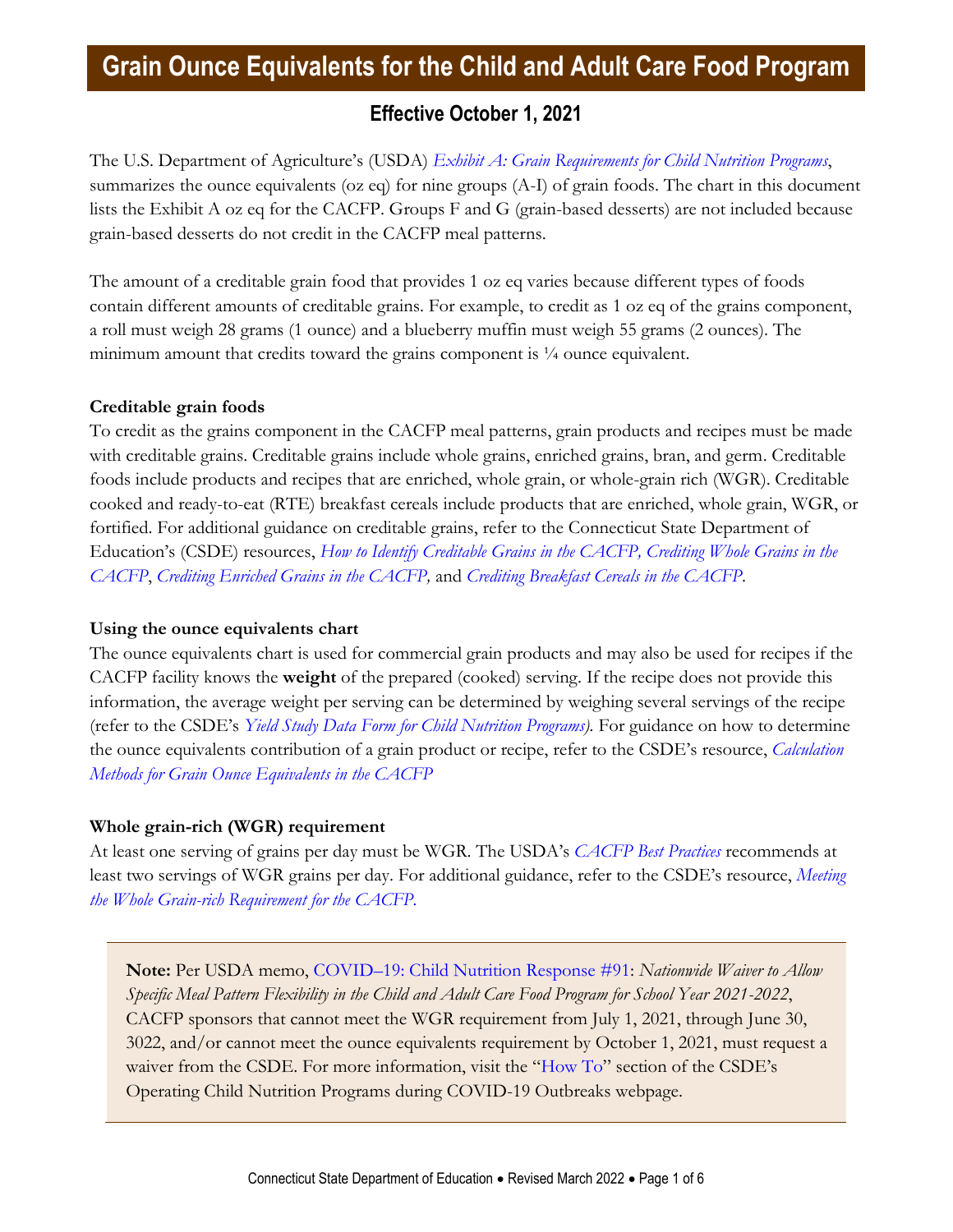# **Grain Ounce Equivalents for the Child and Adult Care Food Program**

### **Effective October 1, 2021**

The U.S. Department of Agriculture's (USDA) *[Exhibit A: Grain Requirements for Child Nutrition Programs](https://foodbuyingguide.fns.usda.gov/Content/TablesFBG/ExhibitA.pdf)*, summarizes the ounce equivalents (oz eq) for nine groups (A-I) of grain foods. The chart in this document lists the Exhibit A oz eq for the CACFP. Groups F and G (grain-based desserts) are not included because grain-based desserts do not credit in the CACFP meal patterns.

The amount of a creditable grain food that provides 1 oz eq varies because different types of foods contain different amounts of creditable grains. For example, to credit as 1 oz eq of the grains component, a roll must weigh 28 grams (1 ounce) and a blueberry muffin must weigh 55 grams (2 ounces). The minimum amount that credits toward the grains component is  $\frac{1}{4}$  ounce equivalent.

### **Creditable grain foods**

To credit as the grains component in the CACFP meal patterns, grain products and recipes must be made with creditable grains. Creditable grains include whole grains, enriched grains, bran, and germ. Creditable foods include products and recipes that are enriched, whole grain, or whole-grain rich (WGR). Creditable cooked and ready-to-eat (RTE) breakfast cereals include products that are enriched, whole grain, WGR, or fortified. For additional guidance on creditable grains, refer to the Connecticut State Department of Education's (CSDE) resources, *[How to Identify Creditable Grains in the CACFP,](https://portal.ct.gov/-/media/SDE/Nutrition/CACFP/Crediting/Identify_Creditable_Grains_CACFP.pdf) [Crediting Whole Grains in the](https://portal.ct.gov/-/media/SDE/Nutrition/CACFP/Crediting/Credit_Whole_Grains_CACFP.pdf)  [CACFP](https://portal.ct.gov/-/media/SDE/Nutrition/CACFP/Crediting/Credit_Whole_Grains_CACFP.pdf)*, *[Crediting Enriched Grains in the CACFP,](https://portal.ct.gov/-/media/SDE/Nutrition/CACFP/Crediting/Credit_Enriched_Grains_CACFP.pdf)* and *[Crediting Breakfast Cereals in the CACFP](https://portal.ct.gov/-/media/SDE/Nutrition/CACFP/Crediting/Credit_Cereals_CACFP.pdf)*.

### **Using the ounce equivalents chart**

The ounce equivalents chart is used for commercial grain products and may also be used for recipes if the CACFP facility knows the **weight** of the prepared (cooked) serving. If the recipe does not provide this information, the average weight per serving can be determined by weighing several servings of the recipe (refer to the CSDE's *[Yield Study Data Form for Child Nutrition Programs\)](http://portal.ct.gov/-/media/SDE/Nutrition/NSLP/Crediting/Yield_Study_Form.pdf).* For guidance on how to determine the ounce equivalents contribution of a grain product or recipe, refer to the CSDE's resource, *[Calculation](https://portal.ct.gov/-/media/SDE/Nutrition/CACFP/Crediting/Grain_Calculation_CACFP_oz_eq.pdf)  [Methods for Grain Ounce Equivalents in the CACFP](https://portal.ct.gov/-/media/SDE/Nutrition/CACFP/Crediting/Grain_Calculation_CACFP_oz_eq.pdf)*

### **Whole grain-rich (WGR) requirement**

At least one serving of grains per day must be WGR. The USDA's *[CACFP Best Practices](https://fns-prod.azureedge.net/sites/default/files/cacfp/CACFP_factBP.pdf)* recommends at least two servings of WGR grains per day. For additional guidance, refer to the CSDE's resource, *[Meeting](https://portal.ct.gov/-/media/SDE/Nutrition/CACFP/Crediting/WGR_Requirement_CACFP.pdf)  [the Whole Grain-rich Requirement for the CACFP.](https://portal.ct.gov/-/media/SDE/Nutrition/CACFP/Crediting/WGR_Requirement_CACFP.pdf)*

**Note:** Per USDA memo, COVID–[19: Child Nutrition Response #91:](https://www.fns.usda.gov/cn/child-nutrition-response-91) *Nationwide Waiver to Allow Specific Meal Pattern Flexibility in the Child and Adult Care Food Program for School Year 2021-2022*, CACFP sponsors that cannot meet the WGR requirement from July 1, 2021, through June 30, 3022, and/or cannot meet the ounce equivalents requirement by October 1, 2021, must request a waiver from the CSDE. For more information, visit the "[How To](https://portal.ct.gov/SDE/Nutrition/Operating-Child-Nutrition-Programs-during-COVID-19-Outbreaks/How-To)" section of the CSDE's Operating Child Nutrition Programs during COVID-19 Outbreaks webpage.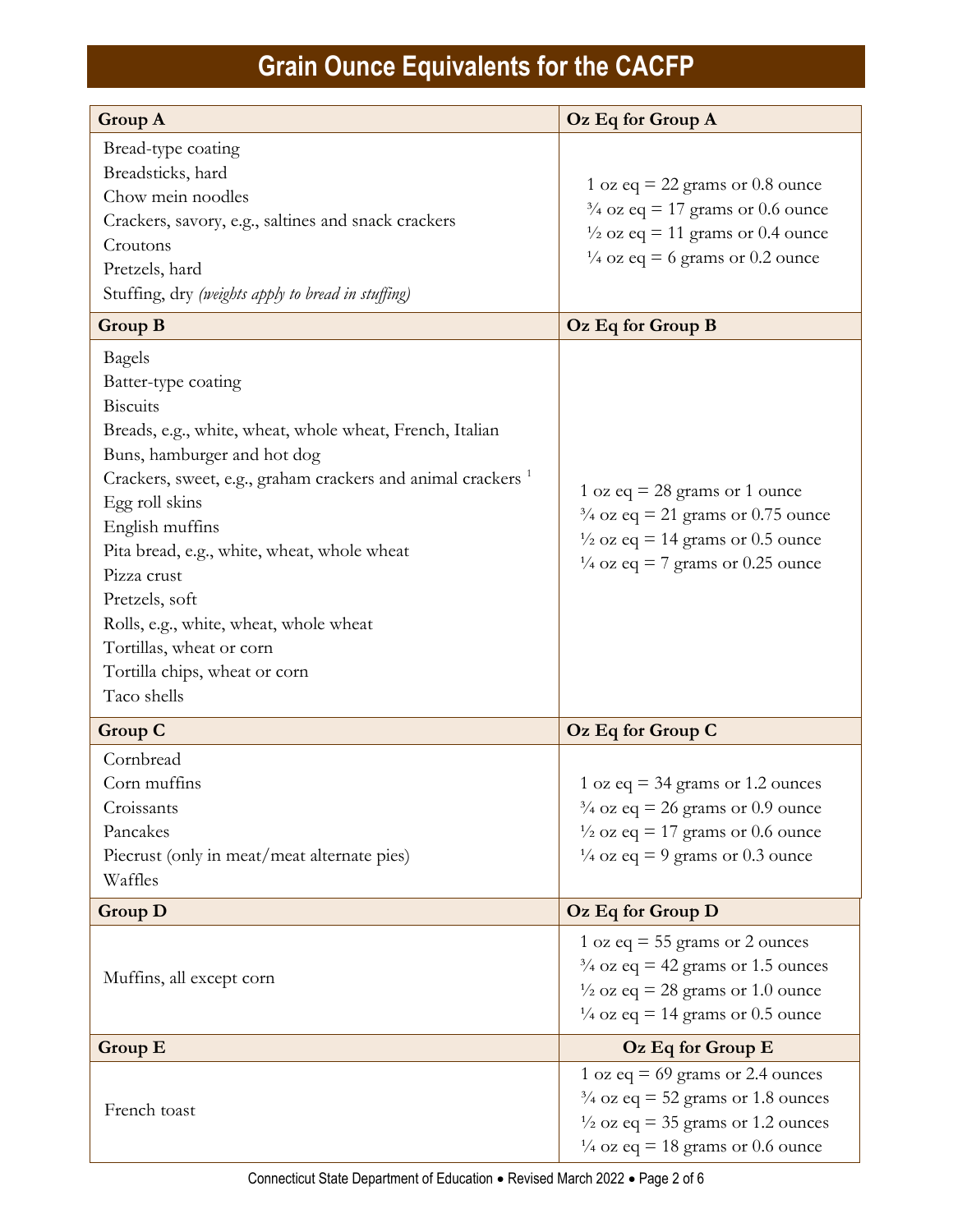| <b>Group A</b>                                                                                                                                                                                                                                                                                                                                                                                                                                                           | Oz Eq for Group A                                                                                                                                                                 |
|--------------------------------------------------------------------------------------------------------------------------------------------------------------------------------------------------------------------------------------------------------------------------------------------------------------------------------------------------------------------------------------------------------------------------------------------------------------------------|-----------------------------------------------------------------------------------------------------------------------------------------------------------------------------------|
| Bread-type coating<br>Breadsticks, hard<br>Chow mein noodles<br>Crackers, savory, e.g., saltines and snack crackers<br>Croutons<br>Pretzels, hard<br>Stuffing, dry (weights apply to bread in stuffing)                                                                                                                                                                                                                                                                  | 1 oz eq = 22 grams or $0.8$ ounce<br>$\frac{3}{4}$ oz eq = 17 grams or 0.6 ounce<br>$\frac{1}{2}$ oz eq = 11 grams or 0.4 ounce<br>$\frac{1}{4}$ oz eq = 6 grams or 0.2 ounce     |
| <b>Group B</b>                                                                                                                                                                                                                                                                                                                                                                                                                                                           | Oz Eq for Group B                                                                                                                                                                 |
| <b>Bagels</b><br>Batter-type coating<br><b>Biscuits</b><br>Breads, e.g., white, wheat, whole wheat, French, Italian<br>Buns, hamburger and hot dog<br>Crackers, sweet, e.g., graham crackers and animal crackers <sup>1</sup><br>Egg roll skins<br>English muffins<br>Pita bread, e.g., white, wheat, whole wheat<br>Pizza crust<br>Pretzels, soft<br>Rolls, e.g., white, wheat, whole wheat<br>Tortillas, wheat or corn<br>Tortilla chips, wheat or corn<br>Taco shells | 1 oz eq = 28 grams or 1 ounce<br>$\frac{3}{4}$ oz eq = 21 grams or 0.75 ounce<br>$\frac{1}{2}$ oz eq = 14 grams or 0.5 ounce<br>$\frac{1}{4}$ oz eq = 7 grams or 0.25 ounce       |
| <b>Group C</b>                                                                                                                                                                                                                                                                                                                                                                                                                                                           | Oz Eq for Group C                                                                                                                                                                 |
| Cornbread<br>Corn muffins<br>Croissants<br>Pancakes<br>Piecrust (only in meat/meat alternate pies)<br>Waffles                                                                                                                                                                                                                                                                                                                                                            | 1 oz eq = 34 grams or 1.2 ounces<br>$\frac{3}{4}$ oz eq = 26 grams or 0.9 ounce<br>$\frac{1}{2}$ oz eq = 17 grams or 0.6 ounce<br>$\frac{1}{4}$ oz eq = 9 grams or 0.3 ounce      |
| <b>Group D</b>                                                                                                                                                                                                                                                                                                                                                                                                                                                           | Oz Eq for Group D                                                                                                                                                                 |
| Muffins, all except corn                                                                                                                                                                                                                                                                                                                                                                                                                                                 | 1 oz eq = $55$ grams or 2 ounces<br>$\frac{3}{4}$ oz eq = 42 grams or 1.5 ounces<br>$\frac{1}{2}$ oz eq = 28 grams or 1.0 ounce<br>$\frac{1}{4}$ oz eq = 14 grams or 0.5 ounce    |
| Group E                                                                                                                                                                                                                                                                                                                                                                                                                                                                  | Oz Eq for Group E                                                                                                                                                                 |
| French toast                                                                                                                                                                                                                                                                                                                                                                                                                                                             | 1 oz eq = $69$ grams or 2.4 ounces<br>$\frac{3}{4}$ oz eq = 52 grams or 1.8 ounces<br>$\frac{1}{2}$ oz eq = 35 grams or 1.2 ounces<br>$\frac{1}{4}$ oz eq = 18 grams or 0.6 ounce |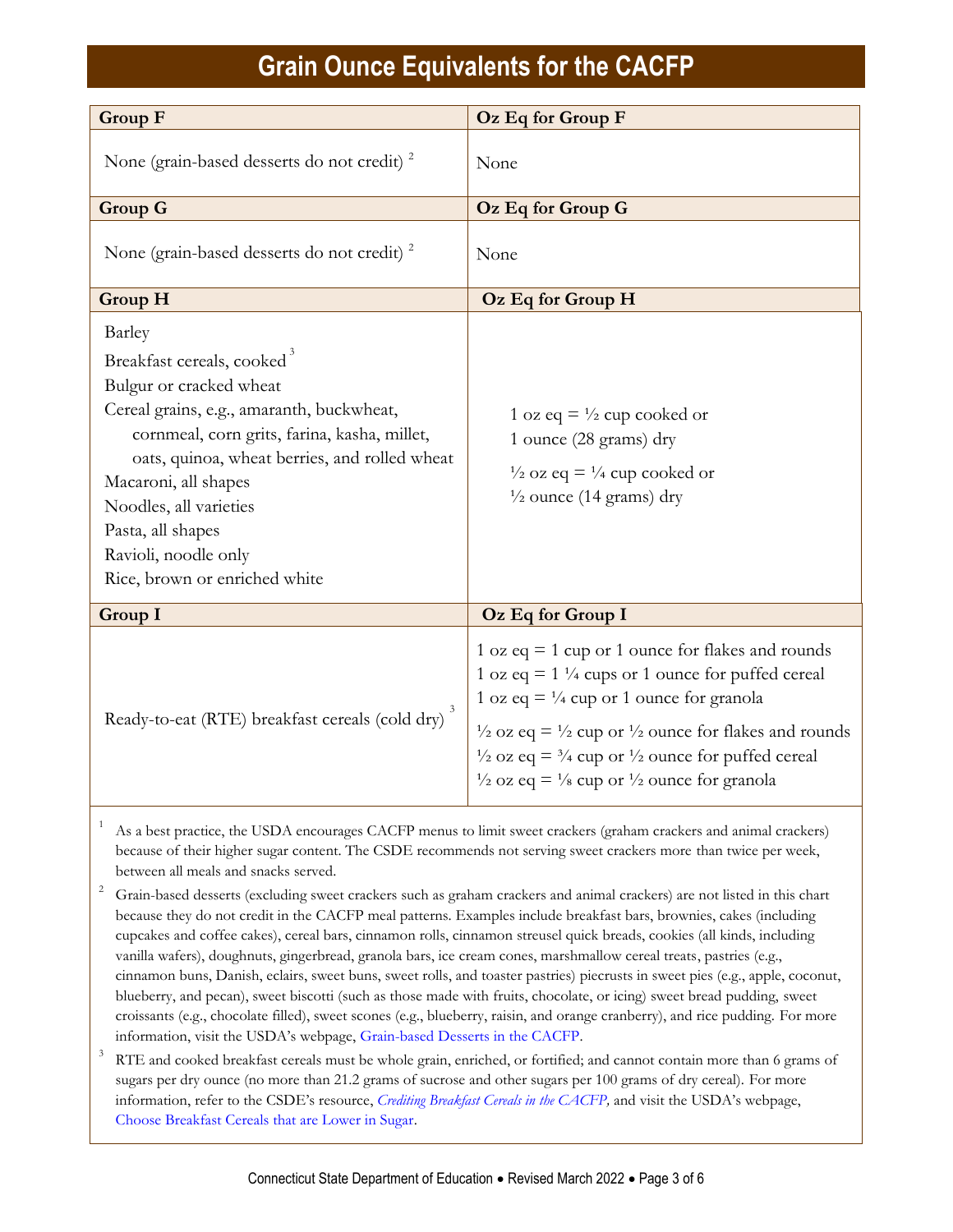| <b>Group F</b>                                                                                                                                                                                                                                                                                                                                            | Oz Eq for Group F                                                                                                                                                                                                                                                                                                                                                                                                                |
|-----------------------------------------------------------------------------------------------------------------------------------------------------------------------------------------------------------------------------------------------------------------------------------------------------------------------------------------------------------|----------------------------------------------------------------------------------------------------------------------------------------------------------------------------------------------------------------------------------------------------------------------------------------------------------------------------------------------------------------------------------------------------------------------------------|
| None (grain-based desserts do not credit) <sup>2</sup>                                                                                                                                                                                                                                                                                                    | None                                                                                                                                                                                                                                                                                                                                                                                                                             |
| <b>Group G</b>                                                                                                                                                                                                                                                                                                                                            | Oz Eq for Group G                                                                                                                                                                                                                                                                                                                                                                                                                |
| None (grain-based desserts do not credit) <sup>2</sup>                                                                                                                                                                                                                                                                                                    | None                                                                                                                                                                                                                                                                                                                                                                                                                             |
| <b>Group H</b>                                                                                                                                                                                                                                                                                                                                            | Oz Eq for Group H                                                                                                                                                                                                                                                                                                                                                                                                                |
| Barley<br>Breakfast cereals, cooked <sup>3</sup><br>Bulgur or cracked wheat<br>Cereal grains, e.g., amaranth, buckwheat,<br>cornmeal, corn grits, farina, kasha, millet,<br>oats, quinoa, wheat berries, and rolled wheat<br>Macaroni, all shapes<br>Noodles, all varieties<br>Pasta, all shapes<br>Ravioli, noodle only<br>Rice, brown or enriched white | 1 oz eq = $\frac{1}{2}$ cup cooked or<br>1 ounce (28 grams) dry<br>$\frac{1}{2}$ oz eq = $\frac{1}{4}$ cup cooked or<br>$\frac{1}{2}$ ounce (14 grams) dry                                                                                                                                                                                                                                                                       |
| Group I                                                                                                                                                                                                                                                                                                                                                   | Oz Eq for Group I                                                                                                                                                                                                                                                                                                                                                                                                                |
| Ready-to-eat (RTE) breakfast cereals (cold dry)                                                                                                                                                                                                                                                                                                           | 1 oz eq $=$ 1 cup or 1 ounce for flakes and rounds<br>1 oz eq = $1\frac{1}{4}$ cups or 1 ounce for puffed cereal<br>1 oz eq = $\frac{1}{4}$ cup or 1 ounce for granola<br>$\frac{1}{2}$ oz eq = $\frac{1}{2}$ cup or $\frac{1}{2}$ ounce for flakes and rounds<br>$\frac{1}{2}$ oz eq = $\frac{3}{4}$ cup or $\frac{1}{2}$ ounce for puffed cereal<br>$\frac{1}{2}$ oz eq = $\frac{1}{8}$ cup or $\frac{1}{2}$ ounce for granola |

As a best practice, the USDA encourages CACFP menus to limit sweet crackers (graham crackers and animal crackers) because of their higher sugar content. The CSDE recommends not serving sweet crackers more than twice per week, between all meals and snacks served.

<sup>2</sup> Grain-based desserts (excluding sweet crackers such as graham crackers and animal crackers) are not listed in this chart because they do not credit in the CACFP meal patterns. Examples include breakfast bars, brownies, cakes (including cupcakes and coffee cakes), cereal bars, cinnamon rolls, cinnamon streusel quick breads, cookies (all kinds, including vanilla wafers), doughnuts, gingerbread, granola bars, ice cream cones, marshmallow cereal treats, pastries (e.g., cinnamon buns, Danish, eclairs, sweet buns, sweet rolls, and toaster pastries) piecrusts in sweet pies (e.g., apple, coconut, blueberry, and pecan), sweet biscotti (such as those made with fruits, chocolate, or icing) sweet bread pudding, sweet croissants (e.g., chocolate filled), sweet scones (e.g., blueberry, raisin, and orange cranberry), and rice pudding. For more information, visit the USDA's webpage, [Grain-based Desserts in the CACFP.](https://www.fns.usda.gov/tn/grain-based-desserts-cacfp)

3 RTE and cooked breakfast cereals must be whole grain, enriched, or fortified; and cannot contain more than 6 grams of sugars per dry ounce (no more than 21.2 grams of sucrose and other sugars per 100 grams of dry cereal). For more information, refer to the CSDE's resource, *[Crediting Breakfast Cereals in the CACFP,](https://portal.ct.gov/-/media/SDE/Nutrition/CACFP/Crediting/Credit_Cereals_CACFP.pdf)* and visit the USDA's webpage, [Choose Breakfast Cereals that are Lower in Sugar.](https://www.fns.usda.gov/tn/choose-breakfast-cereals-are-lower-sugar)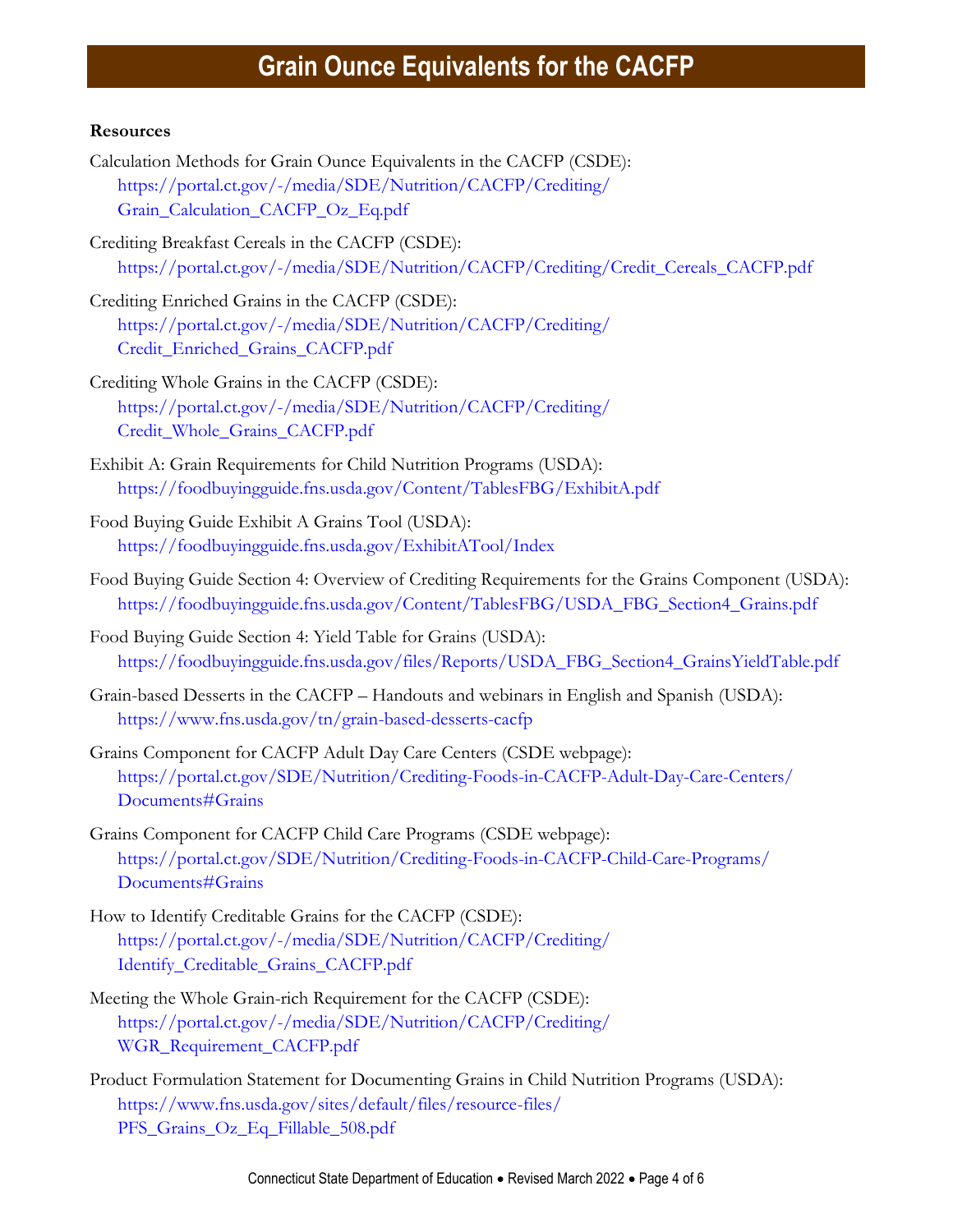### **Resources**

- Calculation Methods for Grain Ounce Equivalents in the CACFP (CSDE): [https://portal.ct.gov/-/media/SDE/Nutrition/CACFP/Crediting/](https://portal.ct.gov/-/media/SDE/Nutrition/CACFP/Crediting/Grain_Calculation_CACFP_Oz_Eq.pdf) [Grain\\_Calculation\\_CACFP\\_Oz\\_Eq.pdf](https://portal.ct.gov/-/media/SDE/Nutrition/CACFP/Crediting/Grain_Calculation_CACFP_Oz_Eq.pdf)
- Crediting Breakfast Cereals in the CACFP (CSDE): [https://portal.ct.gov/-/media/SDE/Nutrition/CACFP/Crediting/Credit\\_Cereals\\_CACFP.pdf](https://portal.ct.gov/-/media/SDE/Nutrition/CACFP/Crediting/Credit_Cereals_CACFP.pdf)
- Crediting Enriched Grains in the CACFP (CSDE): [https://portal.ct.gov/-/media/SDE/Nutrition/CACFP/Crediting/](https://portal.ct.gov/-/media/SDE/Nutrition/CACFP/Crediting/Credit_Enriched_Grains_CACFP.pdf) [Credit\\_Enriched\\_Grains\\_CACFP.pdf](https://portal.ct.gov/-/media/SDE/Nutrition/CACFP/Crediting/Credit_Enriched_Grains_CACFP.pdf)
- Crediting Whole Grains in the CACFP (CSDE): [https://portal.ct.gov/-/media/SDE/Nutrition/CACFP/Crediting/](https://portal.ct.gov/-/media/SDE/Nutrition/CACFP/Crediting/‌Credit_Whole_Grains_CACFP.pdf) [Credit\\_Whole\\_Grains\\_CACFP.pdf](https://portal.ct.gov/-/media/SDE/Nutrition/CACFP/Crediting/‌Credit_Whole_Grains_CACFP.pdf)
- Exhibit A: Grain Requirements for Child Nutrition Programs (USDA): <https://foodbuyingguide.fns.usda.gov/Content/TablesFBG/ExhibitA.pdf>
- Food Buying Guide Exhibit A Grains Tool (USDA): <https://foodbuyingguide.fns.usda.gov/ExhibitATool/Index>
- Food Buying Guide Section 4: Overview of Crediting Requirements for the Grains Component (USDA): [https://foodbuyingguide.fns.usda.gov/Content/TablesFBG/USDA\\_FBG\\_Section4\\_Grains.pdf](https://foodbuyingguide.fns.usda.gov/Content/TablesFBG/USDA_FBG_Section4_Grains.pdf)
- Food Buying Guide Section 4: Yield Table for Grains (USDA): [https://foodbuyingguide.fns.usda.gov/files/Reports/USDA\\_FBG\\_Section4\\_GrainsYieldTable.pdf](https://foodbuyingguide.fns.usda.gov/files/Reports/USDA_FBG_Section4_GrainsYieldTable.pdf)
- Grain-based Desserts in the CACFP Handouts and webinars in English and Spanish (USDA): <https://www.fns.usda.gov/tn/grain-based-desserts-cacfp>
- Grains Component for CACFP Adult Day Care Centers (CSDE webpage): [https://portal.ct.gov/SDE/Nutrition/Crediting-Foods-in-CACFP-Adult-Day-Care-Centers/](https://portal.ct.gov/SDE/Nutrition/Crediting-Foods-in-CACFP-Adult-Day-Care-Centers/Documents#Grains) [Documents#Grains](https://portal.ct.gov/SDE/Nutrition/Crediting-Foods-in-CACFP-Adult-Day-Care-Centers/Documents#Grains)
- Grains Component for CACFP Child Care Programs (CSDE webpage): [https://portal.ct.gov/SDE/Nutrition/Crediting-Foods-in-CACFP-Child-Care-Programs/](https://portal.ct.gov/SDE/Nutrition/Crediting-Foods-in-CACFP-Child-Care-Programs/Documents#Grains) [Documents#Grains](https://portal.ct.gov/SDE/Nutrition/Crediting-Foods-in-CACFP-Child-Care-Programs/Documents#Grains)
- How to Identify Creditable Grains for the CACFP (CSDE): [https://portal.ct.gov/-/media/SDE/Nutrition/CACFP/Crediting/](https://portal.ct.gov/-/media/SDE/Nutrition/CACFP/Crediting/Identify_Creditable_Grains_CACFP.pdf) [Identify\\_Creditable\\_Grains\\_CACFP.pdf](https://portal.ct.gov/-/media/SDE/Nutrition/CACFP/Crediting/Identify_Creditable_Grains_CACFP.pdf)
- Meeting the Whole Grain-rich Requirement for the CACFP (CSDE): [https://portal.ct.gov/-/media/SDE/Nutrition/CACFP/Crediting/](https://portal.ct.gov/-/media/SDE/Nutrition/CACFP/Crediting/WGR_Requirement_CACFP.pdf) [WGR\\_Requirement\\_CACFP.pdf](https://portal.ct.gov/-/media/SDE/Nutrition/CACFP/Crediting/WGR_Requirement_CACFP.pdf)
- Product Formulation Statement for Documenting Grains in Child Nutrition Programs (USDA): [https://www.fns.usda.gov/sites/default/files/resource-files/](https://www.fns.usda.gov/sites/default/files/resource-files/PFS_Grains_Oz_Eq_Fillable_508.pdf) [PFS\\_Grains\\_Oz\\_Eq\\_Fillable\\_508.pdf](https://www.fns.usda.gov/sites/default/files/resource-files/PFS_Grains_Oz_Eq_Fillable_508.pdf)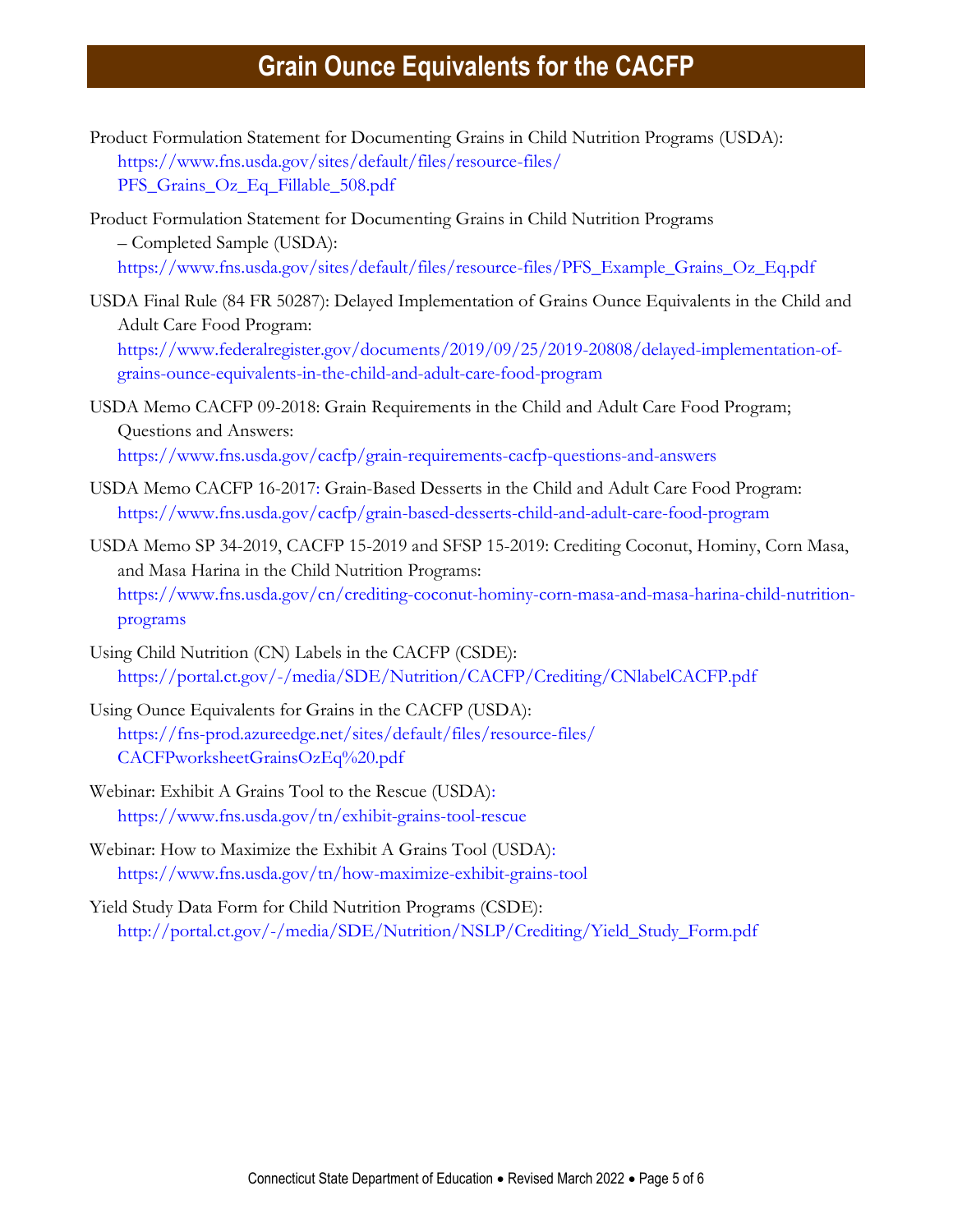- Product Formulation Statement for Documenting Grains in Child Nutrition Programs (USDA): [https://www.fns.usda.gov/sites/default/files/resource-files/](https://www.fns.usda.gov/sites/default/files/resource-files/PFS_Grains_Oz_Eq_Fillable_508.pdf) [PFS\\_Grains\\_Oz\\_Eq\\_Fillable\\_508.pdf](https://www.fns.usda.gov/sites/default/files/resource-files/PFS_Grains_Oz_Eq_Fillable_508.pdf)
- Product Formulation Statement for Documenting Grains in Child Nutrition Programs – Completed Sample (USDA): [https://www.fns.usda.gov/sites/default/files/resource-files/PFS\\_Example\\_Grains\\_Oz\\_Eq.pdf](https://www.fns.usda.gov/sites/default/files/resource-files/PFS_Example_Grains_Oz_Eq.pdf)
- USDA Final Rule (84 FR 50287): Delayed Implementation of Grains Ounce Equivalents in the Child and Adult Care Food Program: [https://www.federalregister.gov/documents/2019/09/25/2019-20808/delayed-implementation-of](https://www.federalregister.gov/documents/2019/09/25/2019-20808/delayed-implementation-of-grains-ounce-equivalents-in-the-child-and-adult-care-food-program)[grains-ounce-equivalents-in-the-child-and-adult-care-food-program](https://www.federalregister.gov/documents/2019/09/25/2019-20808/delayed-implementation-of-grains-ounce-equivalents-in-the-child-and-adult-care-food-program)
- USDA Memo CACFP 09-2018: Grain Requirements in the Child and Adult Care Food Program; Questions and Answers: <https://www.fns.usda.gov/cacfp/grain-requirements-cacfp-questions-and-answers>
- USDA Memo CACFP 16-2017: Grain-Based Desserts in the Child and Adult Care Food Program: <https://www.fns.usda.gov/cacfp/grain-based-desserts-child-and-adult-care-food-program>
- USDA Memo SP 34-2019, CACFP 15-2019 and SFSP 15-2019: Crediting Coconut, Hominy, Corn Masa, and Masa Harina in the Child Nutrition Programs: [https://www.fns.usda.gov/cn/crediting-coconut-hominy-corn-masa-and-masa-harina-child-nutrition](https://www.fns.usda.gov/cn/crediting-coconut-hominy-corn-masa-and-masa-harina-child-nutrition-programs)[programs](https://www.fns.usda.gov/cn/crediting-coconut-hominy-corn-masa-and-masa-harina-child-nutrition-programs)
- Using Child Nutrition (CN) Labels in the CACFP (CSDE): [https://portal.ct.gov/-/media/SDE/Nutrition/CACFP/Crediting/CNlabelCACFP.pdf](http://portal.ct.gov/-/media/SDE/Nutrition/CACFP/Crediting/Using_CN_labels_CACFP.pdf)
- Using Ounce Equivalents for Grains in the CACFP (USDA): [https://fns-prod.azureedge.net/sites/default/files/resource-files/](https://fns-prod.azureedge.net/sites/default/files/resource-files/CACFPworksheetGrainsOzEq%20.pdf) [CACFPworksheetGrainsOzEq%20.pdf](https://fns-prod.azureedge.net/sites/default/files/resource-files/CACFPworksheetGrainsOzEq%20.pdf)
- Webinar: Exhibit A Grains Tool to the Rescue (USDA): <https://www.fns.usda.gov/tn/exhibit-grains-tool-rescue>
- Webinar: How to Maximize the Exhibit A Grains Tool (USDA): <https://www.fns.usda.gov/tn/how-maximize-exhibit-grains-tool>
- Yield Study Data Form for Child Nutrition Programs (CSDE): [http://portal.ct.gov/-/media/SDE/Nutrition/NSLP/Crediting/Yield\\_Study\\_Form.pdf](http://portal.ct.gov/-/media/SDE/Nutrition/NSLP/Crediting/Yield_Study_Form.pdf)